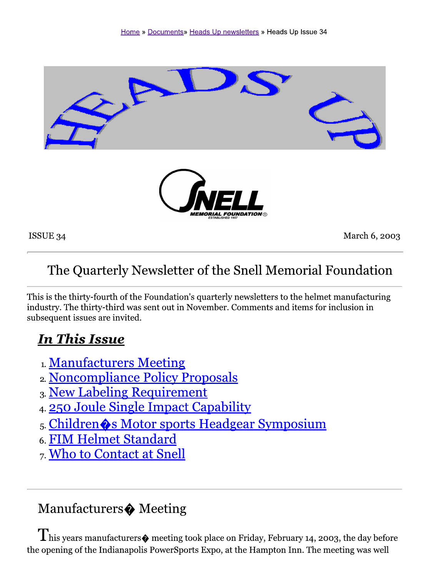

ISSUE 34

March 6, 2003

# The Quarterly Newsletter of the Snell Memorial Foundation

This is the thirty-fourth of the Foundation's quarterly newsletters to the helmet manufacturing industry. The thirty-third was sent out in November. Comments and items for inclusion in subsequent issues are invited.

## **In This Issue**

- 1. Manufacturers Meeting
- 2. Noncompliance Policy Proposals
- 3. New Labeling Requirement
- 4. 250 Joule Single Impact Capability
- 5. Children  $\diamond$ s Motor sports Headgear Symposium
- 6. FIM Helmet Standard
- 7. Who to Contact at Snell

## Manufacturers • Meeting

 $\prod$ his years manufacturers $\clubsuit$  meeting took place on Friday, February 14, 2003, the day before the opening of the Indianapolis PowerSports Expo, at the Hampton Inn. The meeting was well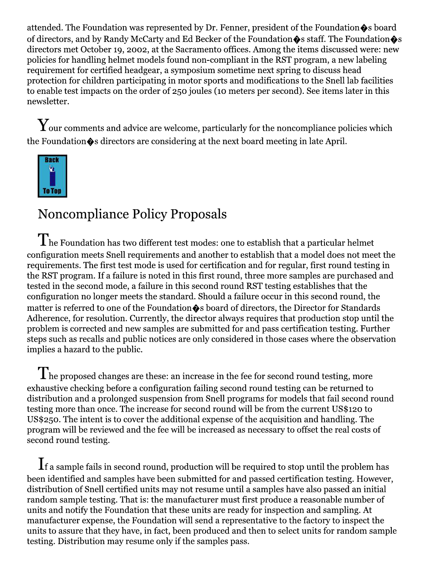attended. The Foundation was represented by Dr. Fenner, president of the Foundation  $\hat{\bullet}$ s board of directors, and by Randy McCarty and Ed Becker of the Foundation  $\hat{\bullet}$ s staff. The Foundation  $\hat{\bullet}$ s directors met October 19, 2002, at the Sacramento offices. Among the items discussed were: new policies for handling helmet models found non-compliant in the RST program, a new labeling requirement for certified headgear, a symposium sometime next spring to discuss head protection for children participating in motor sports and modifications to the Snell lab facilities to enable test impacts on the order of 250 joules (10 meters per second). See items later in this newsletter.

 $\mathbf{Y}_{\text{our}\, \text{comments}}$  and advice are welcome, particularly for the noncompliance policies which the Foundation  $\hat{\bullet}$ s directors are considering at the next board meeting in late April.



#### **Noncompliance Policy Proposals**

 $\rm T$ he Foundation has two different test modes: one to establish that a particular helmet configuration meets Snell requirements and another to establish that a model does not meet the requirements. The first test mode is used for certification and for regular, first round testing in the RST program. If a failure is noted in this first round, three more samples are purchased and tested in the second mode, a failure in this second round RST testing establishes that the configuration no longer meets the standard. Should a failure occur in this second round, the matter is referred to one of the Foundation  $\bullet$ s board of directors, the Director for Standards Adherence, for resolution. Currently, the director always requires that production stop until the problem is corrected and new samples are submitted for and pass certification testing. Further steps such as recalls and public notices are only considered in those cases where the observation implies a hazard to the public.

 $\rm T$ he proposed changes are these: an increase in the fee for second round testing, more exhaustive checking before a configuration failing second round testing can be returned to distribution and a prolonged suspension from Snell programs for models that fail second round testing more than once. The increase for second round will be from the current US\$120 to US\$250. The intent is to cover the additional expense of the acquisition and handling. The program will be reviewed and the fee will be increased as necessary to offset the real costs of second round testing.

 $\mathbf{I}$  f a sample fails in second round, production will be required to stop until the problem has been identified and samples have been submitted for and passed certification testing. However, distribution of Snell certified units may not resume until a samples have also passed an initial random sample testing. That is: the manufacturer must first produce a reasonable number of units and notify the Foundation that these units are ready for inspection and sampling. At manufacturer expense, the Foundation will send a representative to the factory to inspect the units to assure that they have, in fact, been produced and then to select units for random sample testing. Distribution may resume only if the samples pass.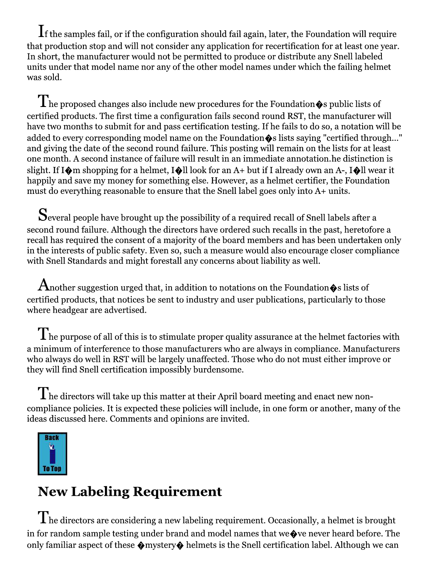$\mathbf 1$ f the samples fail, or if the configuration should fail again, later, the Foundation will require that production stop and will not consider any application for recertification for at least one year. In short, the manufacturer would not be permitted to produce or distribute any Snell labeled units under that model name nor any of the other model names under which the failing helmet was sold.

The proposed changes also include new procedures for the Foundation  $\hat{\bullet}$ s public lists of certified products. The first time a configuration fails second round RST, the manufacturer will have two months to submit for and pass certification testing. If he fails to do so, a notation will be added to every corresponding model name on the Foundation  $\hat{\bullet}$ s lists saving "certified through..." and giving the date of the second round failure. This posting will remain on the lists for at least one month. A second instance of failure will result in an immediate annotation. he distinction is slight. If I $\circledast$ m shopping for a helmet, I $\circledast$ ll look for an A+ but if I already own an A-, I $\circledast$ ll wear it happily and save my money for something else. However, as a helmet certifier, the Foundation must do everything reasonable to ensure that the Snell label goes only into A+ units.

 $S$  everal people have brought up the possibility of a required recall of Snell labels after a second round failure. Although the directors have ordered such recalls in the past, heretofore a recall has required the consent of a majority of the board members and has been undertaken only in the interests of public safety. Even so, such a measure would also encourage closer compliance with Snell Standards and might forestall any concerns about liability as well.

 $\bm{\mathrm{A}}$ nother suggestion urged that, in addition to notations on the Foundation  $\bm{\hat{\phi}}$ s lists of certified products, that notices be sent to industry and user publications, particularly to those where headgear are advertised.

 $\bf{Z}$  he purpose of all of this is to stimulate proper quality assurance at the helmet factories with a minimum of interference to those manufacturers who are always in compliance. Manufacturers who always do well in RST will be largely unaffected. Those who do not must either improve or they will find Snell certification impossibly burdensome.

 $\hat{I}$  he directors will take up this matter at their April board meeting and enact new noncompliance policies. It is expected these policies will include, in one form or another, many of the ideas discussed here. Comments and opinions are invited.



# **New Labeling Requirement**

 $\rm T$ he directors are considering a new labeling requirement. Occasionally, a helmet is brought in for random sample testing under brand and model names that we  $\Diamond$  ve never heard before. The only familiar aspect of these  $\Diamond$  mystery $\Diamond$  helmets is the Snell certification label. Although we can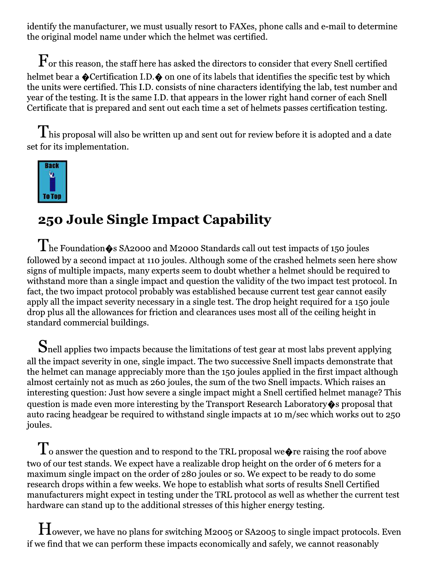identify the manufacturer, we must usually resort to FAXes, phone calls and e-mail to determine the original model name under which the helmet was certified.

 $\mathbf F$ or this reason, the staff here has asked the directors to consider that every Snell certified helmet bear a  $\bigcirc$  Certification I.D. $\bigcirc$  on one of its labels that identifies the specific test by which the units were certified. This I.D. consists of nine characters identifying the lab, test number and year of the testing. It is the same I.D. that appears in the lower right hand corner of each Snell Certificate that is prepared and sent out each time a set of helmets passes certification testing.

 $\rm \bf I$  his proposal will also be written up and sent out for review before it is adopted and a date set for its implementation.



#### 250 Joule Single Impact Capability

 $\rm T$ he Foundation $\rm \bullet$ s SA2000 and M2000 Standards call out test impacts of 150 joules followed by a second impact at 110 joules. Although some of the crashed helmets seen here show signs of multiple impacts, many experts seem to doubt whether a helmet should be required to withstand more than a single impact and question the validity of the two impact test protocol. In fact, the two impact protocol probably was established because current test gear cannot easily apply all the impact severity necessary in a single test. The drop height required for a 150 joule drop plus all the allowances for friction and clearances uses most all of the ceiling height in standard commercial buildings.

 ${\bf S}$ nell applies two impacts because the limitations of test gear at most labs prevent applying all the impact severity in one, single impact. The two successive Snell impacts demonstrate that the helmet can manage appreciably more than the 150 joules applied in the first impact although almost certainly not as much as 260 joules, the sum of the two Snell impacts. Which raises an interesting question: Just how severe a single impact might a Snell certified helmet manage? This question is made even more interesting by the Transport Research Laboratory  $\hat{\mathbf{\bullet}}$ s proposal that auto racing headgear be required to withstand single impacts at 10 m/sec which works out to 250 joules.

 $\rm T_{o}$  answer the question and to respond to the TRL proposal we�re raising the roof above two of our test stands. We expect have a realizable drop height on the order of 6 meters for a maximum single impact on the order of 280 joules or so. We expect to be ready to do some research drops within a few weeks. We hope to establish what sorts of results Snell Certified manufacturers might expect in testing under the TRL protocol as well as whether the current test hardware can stand up to the additional stresses of this higher energy testing.

 $\rm\bf H$ owever, we have no plans for switching M2005 or SA2005 to single impact protocols. Even if we find that we can perform these impacts economically and safely, we cannot reasonably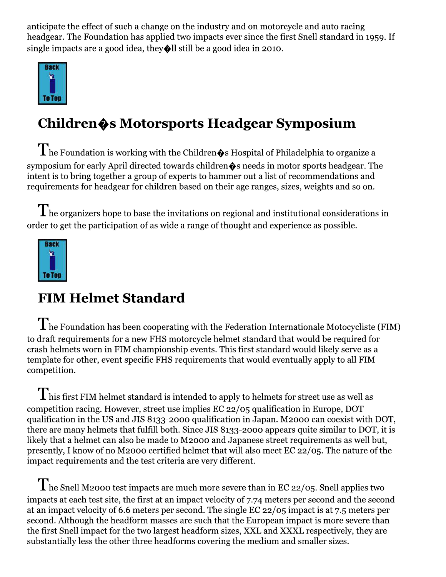anticipate the effect of such a change on the industry and on motorcycle and auto racing headgear. The Foundation has applied two impacts ever since the first Snell standard in 1959. If single impacts are a good idea, they  $\bigcirc$  ll still be a good idea in 2010.



# Children $\hat{\Phi}$ s Motorsports Headgear Symposium

 $\rm T$ he Foundation is working with the Children $\rm{\bullet}$ s Hospital of Philadelphia to organize a symposium for early April directed towards children $\bullet$ s needs in motor sports headgear. The intent is to bring together a group of experts to hammer out a list of recommendations and requirements for headgear for children based on their age ranges, sizes, weights and so on.

 $\rm\bf T$ he organizers hope to base the invitations on regional and institutional considerations in order to get the participation of as wide a range of thought and experience as possible.



## **FIM Helmet Standard**

 $\rm T$  he Foundation has been cooperating with the Federation Internationale Motocycliste (FIM) to draft requirements for a new FHS motorcycle helmet standard that would be required for crash helmets worn in FIM championship events. This first standard would likely serve as a template for other, event specific FHS requirements that would eventually apply to all FIM competition.

 $\rm T$  his first FIM helmet standard is intended to apply to helmets for street use as well as competition racing. However, street use implies EC 22/05 qualification in Europe, DOT qualification in the US and JIS 8133-2000 qualification in Japan. M2000 can coexist with DOT, there are many helmets that fulfill both. Since JIS 8133-2000 appears quite similar to DOT, it is likely that a helmet can also be made to M2000 and Japanese street requirements as well but, presently, I know of no M2000 certified helmet that will also meet EC 22/05. The nature of the impact requirements and the test criteria are very different.

 $\int$  he Snell M2000 test impacts are much more severe than in EC 22/05. Snell applies two impacts at each test site, the first at an impact velocity of 7.74 meters per second and the second at an impact velocity of 6.6 meters per second. The single EC  $22/05$  impact is at 7.5 meters per second. Although the headform masses are such that the European impact is more severe than the first Snell impact for the two largest headform sizes, XXL and XXXL respectively, they are substantially less the other three headforms covering the medium and smaller sizes.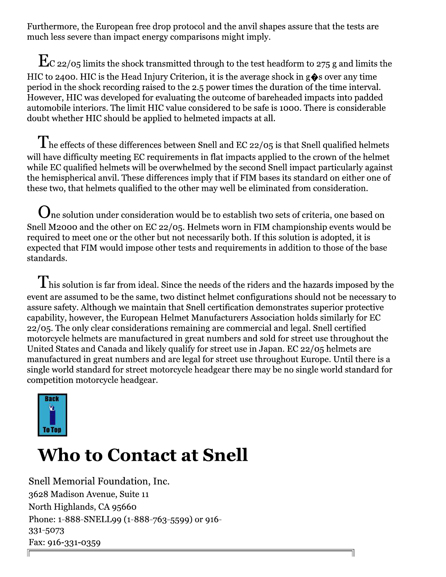Furthermore, the European free drop protocol and the anvil shapes assure that the tests are much less severe than impact energy comparisons might imply.

 $\rm E_{C}$  22/05 limits the shock transmitted through to the test headform to 275 g and limits the HIC to 2400. HIC is the Head Injury Criterion, it is the average shock in  $g\hat{\phi}$ s over any time period in the shock recording raised to the 2.5 power times the duration of the time interval. However, HIC was developed for evaluating the outcome of bareheaded impacts into padded automobile interiors. The limit HIC value considered to be safe is 1000. There is considerable doubt whether HIC should be applied to helmeted impacts at all.

 $\prod$  he effects of these differences between Snell and EC 22/05 is that Snell qualified helmets will have difficulty meeting EC requirements in flat impacts applied to the crown of the helmet while EC qualified helmets will be overwhelmed by the second Snell impact particularly against the hemispherical anvil. These differences imply that if FIM bases its standard on either one of these two, that helmets qualified to the other may well be eliminated from consideration.

 $\mathbf{U}$ ne solution under consideration would be to establish two sets of criteria, one based on Snell M2000 and the other on EC 22/05. Helmets worn in FIM championship events would be required to meet one or the other but not necessarily both. If this solution is adopted, it is expected that FIM would impose other tests and requirements in addition to those of the base standards.

 $\mathbf{I}$  his solution is far from ideal. Since the needs of the riders and the hazards imposed by the event are assumed to be the same, two distinct helmet configurations should not be necessary to assure safety. Although we maintain that Snell certification demonstrates superior protective capability, however, the European Helmet Manufacturers Association holds similarly for EC 22/05. The only clear considerations remaining are commercial and legal. Snell certified motorcycle helmets are manufactured in great numbers and sold for street use throughout the United States and Canada and likely qualify for street use in Japan. EC 22/05 helmets are manufactured in great numbers and are legal for street use throughout Europe. Until there is a single world standard for street motorcycle headgear there may be no single world standard for competition motorcycle headgear.



# **Who to Contact at Snell**

Snell Memorial Foundation, Inc. 3628 Madison Avenue, Suite 11 North Highlands, CA 95660 Phone: 1-888-SNELL99 (1-888-763-5599) or 916-331-5073 Fax: 916-331-0359